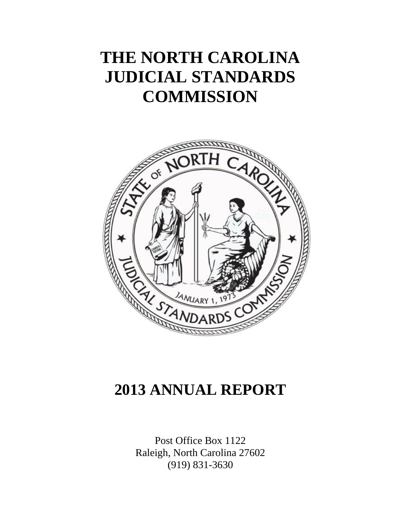# **THE NORTH CAROLINA JUDICIAL STANDARDS COMMISSION**



# **2013 ANNUAL REPORT**

Post Office Box 1122 Raleigh, North Carolina 27602 (919) 831-3630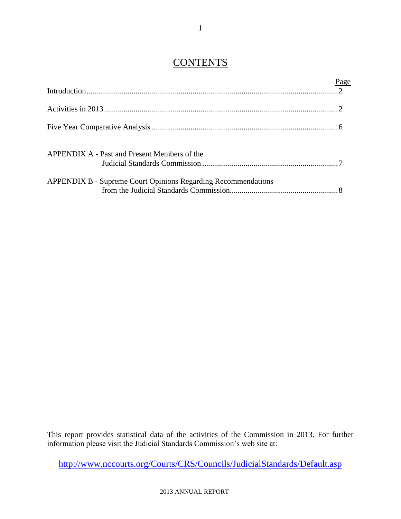## **CONTENTS**

|                                                                      | Page |
|----------------------------------------------------------------------|------|
|                                                                      |      |
|                                                                      |      |
|                                                                      |      |
| APPENDIX A - Past and Present Members of the                         |      |
|                                                                      |      |
| <b>APPENDIX B - Supreme Court Opinions Regarding Recommendations</b> |      |

This report provides statistical data of the activities of the Commission in 2013. For further information please visit the Judicial Standards Commission's web site at:

<http://www.nccourts.org/Courts/CRS/Councils/JudicialStandards/Default.asp>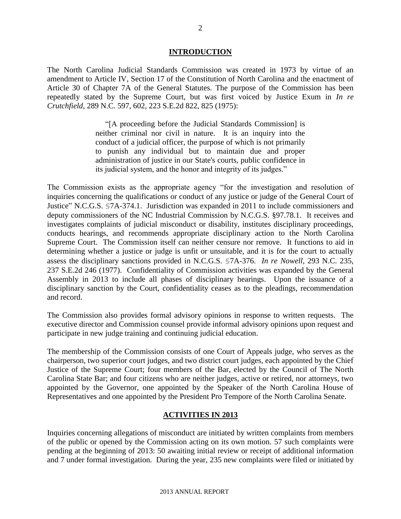#### **INTRODUCTION**

The North Carolina Judicial Standards Commission was created in 1973 by virtue of an amendment to Article IV, Section 17 of the Constitution of North Carolina and the enactment of Article 30 of Chapter 7A of the General Statutes. The purpose of the Commission has been repeatedly stated by the Supreme Court, but was first voiced by Justice Exum in *In re Crutchfield*, 289 N.C. 597, 602, 223 S.E.2d 822, 825 (1975):

> "[A proceeding before the Judicial Standards Commission] is neither criminal nor civil in nature. It is an inquiry into the conduct of a judicial officer, the purpose of which is not primarily to punish any individual but to maintain due and proper administration of justice in our State's courts, public confidence in its judicial system, and the honor and integrity of its judges."

The Commission exists as the appropriate agency "for the investigation and resolution of inquiries concerning the qualifications or conduct of any justice or judge of the General Court of Justice" N.C.G.S. §7A-374.1. Jurisdiction was expanded in 2011 to include commissioners and deputy commissioners of the NC Industrial Commission by N.C.G.S. §97.78.1. It receives and investigates complaints of judicial misconduct or disability, institutes disciplinary proceedings, conducts hearings, and recommends appropriate disciplinary action to the North Carolina Supreme Court. The Commission itself can neither censure nor remove. It functions to aid in determining whether a justice or judge is unfit or unsuitable, and it is for the court to actually assess the disciplinary sanctions provided in N.C.G.S. §7A-376. *In re Nowell*, 293 N.C. 235, 237 S.E.2d 246 (1977). Confidentiality of Commission activities was expanded by the General Assembly in 2013 to include all phases of disciplinary hearings. Upon the issuance of a disciplinary sanction by the Court, confidentiality ceases as to the pleadings, recommendation and record.

The Commission also provides formal advisory opinions in response to written requests. The executive director and Commission counsel provide informal advisory opinions upon request and participate in new judge training and continuing judicial education.

The membership of the Commission consists of one Court of Appeals judge, who serves as the chairperson, two superior court judges, and two district court judges, each appointed by the Chief Justice of the Supreme Court; four members of the Bar, elected by the Council of The North Carolina State Bar; and four citizens who are neither judges, active or retired, nor attorneys, two appointed by the Governor, one appointed by the Speaker of the North Carolina House of Representatives and one appointed by the President Pro Tempore of the North Carolina Senate.

#### **ACTIVITIES IN 2013**

Inquiries concerning allegations of misconduct are initiated by written complaints from members of the public or opened by the Commission acting on its own motion. 57 such complaints were pending at the beginning of 2013: 50 awaiting initial review or receipt of additional information and 7 under formal investigation. During the year, 235 new complaints were filed or initiated by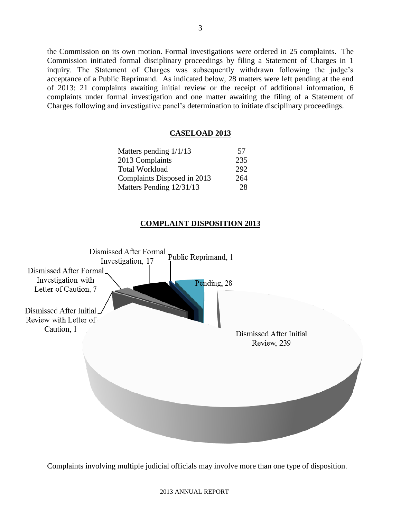the Commission on its own motion. Formal investigations were ordered in 25 complaints. The Commission initiated formal disciplinary proceedings by filing a Statement of Charges in 1 inquiry. The Statement of Charges was subsequently withdrawn following the judge's acceptance of a Public Reprimand. As indicated below, 28 matters were left pending at the end of 2013: 21 complaints awaiting initial review or the receipt of additional information, 6 complaints under formal investigation and one matter awaiting the filing of a Statement of Charges following and investigative panel's determination to initiate disciplinary proceedings.

#### **CASELOAD 2013**

| 57  |
|-----|
| 235 |
| 292 |
| 264 |
| 28  |
|     |

#### **COMPLAINT DISPOSITION 2013**



Complaints involving multiple judicial officials may involve more than one type of disposition.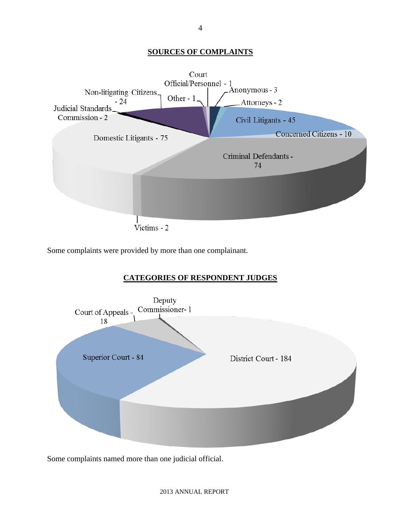#### **SOURCES OF COMPLAINTS**



Some complaints were provided by more than one complainant.

#### **CATEGORIES OF RESPONDENT JUDGES**



Some complaints named more than one judicial official.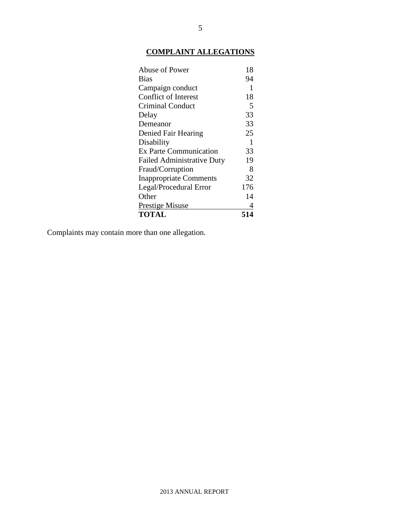### **COMPLAINT ALLEGATIONS**

| Abuse of Power                    | 18  |
|-----------------------------------|-----|
| Bias                              | 94  |
| Campaign conduct                  | 1   |
| <b>Conflict of Interest</b>       | 18  |
| <b>Criminal Conduct</b>           | 5   |
| Delay                             | 33  |
| Demeanor                          | 33  |
| Denied Fair Hearing               | 25  |
| Disability                        | 1   |
| <b>Ex Parte Communication</b>     | 33  |
| <b>Failed Administrative Duty</b> | 19  |
| Fraud/Corruption                  | 8   |
| <b>Inappropriate Comments</b>     | 32  |
| Legal/Procedural Error            | 176 |
| Other                             | 14  |
| <b>Prestige Misuse</b>            | 4   |
| <b>TOTAL</b>                      | 514 |

Complaints may contain more than one allegation.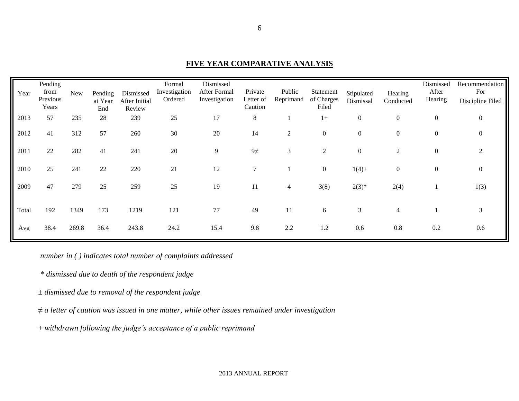| Year  | Pending<br>from<br>Previous<br>Years | <b>New</b> | Pending<br>at Year<br>End | Dismissed<br>After Initial<br>Review | Formal<br>Investigation<br>Ordered | Dismissed<br>After Formal<br>Investigation | Private<br>Letter of<br>Caution | Public<br>Reprimand | Statement<br>of Charges<br>Filed | Stipulated<br>Dismissal | Hearing<br>Conducted | Dismissed<br>After<br>Hearing | Recommendation<br>For<br>Discipline Filed |
|-------|--------------------------------------|------------|---------------------------|--------------------------------------|------------------------------------|--------------------------------------------|---------------------------------|---------------------|----------------------------------|-------------------------|----------------------|-------------------------------|-------------------------------------------|
| 2013  | 57                                   | 235        | 28                        | 239                                  | 25                                 | 17                                         | 8                               |                     | $1+$                             | $\boldsymbol{0}$        | $\boldsymbol{0}$     | $\boldsymbol{0}$              | $\mathbf{0}$                              |
| 2012  | 41                                   | 312        | 57                        | 260                                  | 30                                 | 20                                         | 14                              | 2                   | $\boldsymbol{0}$                 | $\boldsymbol{0}$        | $\boldsymbol{0}$     | $\mathbf{0}$                  | $\mathbf{0}$                              |
| 2011  | 22                                   | 282        | 41                        | 241                                  | 20                                 | 9                                          | $9\neq$                         | 3                   | 2                                | $\boldsymbol{0}$        | $\overline{c}$       | $\boldsymbol{0}$              | 2                                         |
| 2010  | 25                                   | 241        | 22                        | 220                                  | 21                                 | 12                                         | $\overline{7}$                  |                     | $\mathbf{0}$                     | $1(4) \pm$              | $\boldsymbol{0}$     | $\mathbf{0}$                  | $\mathbf{0}$                              |
| 2009  | 47                                   | 279        | 25                        | 259                                  | 25                                 | 19                                         | 11                              | 4                   | 3(8)                             | $2(3)*$                 | 2(4)                 |                               | 1(3)                                      |
| Total | 192                                  | 1349       | 173                       | 1219                                 | 121                                | 77                                         | 49                              | 11                  | 6                                | 3                       | $\overline{4}$       |                               | 3                                         |
| Avg   | 38.4                                 | 269.8      | 36.4                      | 243.8                                | 24.2                               | 15.4                                       | 9.8                             | 2.2                 | 1.2                              | 0.6                     | 0.8                  | 0.2                           | 0.6                                       |

### **FIVE YEAR COMPARATIVE ANALYSIS**

*number in ( ) indicates total number of complaints addressed*

*\* dismissed due to death of the respondent judge*

*± dismissed due to removal of the respondent judge*

*≠ a letter of caution was issued in one matter, while other issues remained under investigation*

+ *withdrawn following the judge's acceptance of a public reprimand*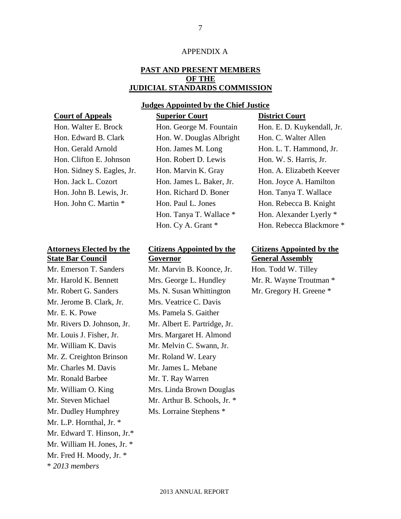#### APPENDIX A

#### **PAST AND PRESENT MEMBERS OF THE JUDICIAL STANDARDS COMMISSION**

#### **Judges Appointed by the Chief Justice**

#### **Court of Appeals Superior Court District Court**

#### **Attorneys Elected by the State Bar Council**

\* *2013 members* Mr. Jerome B. Clark, Jr. Mrs. Veatrice C. Davis Mr. E. K. Powe Ms. Pamela S. Gaither Mr. Louis J. Fisher, Jr. Mrs. Margaret H. Almond Mr. William K. Davis Mr. Melvin C. Swann, Jr. Mr. Z. Creighton Brinson Mr. Roland W. Leary Mr. Charles M. Davis Mr. James L. Mebane Mr. Ronald Barbee Mr. T. Ray Warren Mr. William O. King Mr. Steven Michael Mr. Dudley Humphrey Ms. Lorraine Stephens \* Mr. L.P. Hornthal, Jr. \* Mr. Edward T. Hinson, Jr.\* Mr. William H. Jones, Jr. \* Mr. Fred H. Moody, Jr. \*

Hon. Edward B. Clark Hon. W. Douglas Albright Hon. C. Walter Allen Hon. Clifton E. Johnson Hon. Robert D. Lewis Hon. W. S. Harris, Jr. Hon. Jack L. Cozort Hon. James L. Baker, Jr. Hon. Joyce A. Hamilton Hon. John B. Lewis, Jr. Hon. Richard D. Boner Hon. Tanya T. Wallace

#### **Citizens Appointed by the Governor**

Mr. Emerson T. Sanders Mr. Marvin B. Koonce, Jr. Hon. Todd W. Tilley Mr. Harold K. Bennett Mrs. George L. Hundley Mr. R. Wayne Troutman \* Mr. Robert G. Sanders Ms. N. Susan Whittington Mr. Gregory H. Greene \* Mr. Rivers D. Johnson, Jr. Mr. Albert E. Partridge, Jr. Mrs. Linda Brown Douglas Mr. Arthur B. Schools, Jr. \*

Hon. Walter E. Brock Hon. George M. Fountain Hon. E. D. Kuykendall, Jr. Hon. Gerald Arnold Hon. James M. Long Hon. L. T. Hammond, Jr. Hon. Sidney S. Eagles, Jr. Hon. Marvin K. Gray Hon. A. Elizabeth Keever Hon. John C. Martin \* Hon. Paul L. Jones Hon. Rebecca B. Knight Hon. Tanya T. Wallace \* Hon. Alexander Lyerly \* Hon. Cy A. Grant \* Hon. Rebecca Blackmore \*

#### **Citizens Appointed by the General Assembly**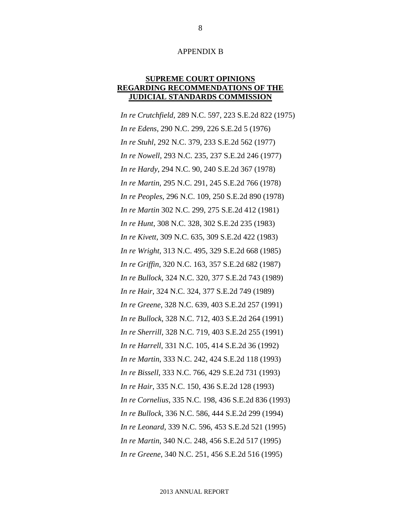#### APPENDIX B

#### **SUPREME COURT OPINIONS REGARDING RECOMMENDATIONS OF THE JUDICIAL STANDARDS COMMISSION**

*In re Crutchfield*, 289 N.C. 597, 223 S.E.2d 822 (1975) *In re Edens*, 290 N.C. 299, 226 S.E.2d 5 (1976) *In re Stuhl*, 292 N.C. 379, 233 S.E.2d 562 (1977) *In re Nowell*, 293 N.C. 235, 237 S.E.2d 246 (1977) *In re Hardy*, 294 N.C. 90, 240 S.E.2d 367 (1978) *In re Martin*, 295 N.C. 291, 245 S.E.2d 766 (1978) *In re Peoples*, 296 N.C. 109, 250 S.E.2d 890 (1978) *In re Martin* 302 N.C. 299, 275 S.E.2d 412 (1981) *In re Hunt*, 308 N.C. 328, 302 S.E.2d 235 (1983) *In re Kivett*, 309 N.C. 635, 309 S.E.2d 422 (1983) *In re Wright*, 313 N.C. 495, 329 S.E.2d 668 (1985) *In re Griffin*, 320 N.C. 163, 357 S.E.2d 682 (1987) *In re Bullock*, 324 N.C. 320, 377 S.E.2d 743 (1989) *In re Hair*, 324 N.C. 324, 377 S.E.2d 749 (1989) *In re Greene*, 328 N.C. 639, 403 S.E.2d 257 (1991) *In re Bullock*, 328 N.C. 712, 403 S.E.2d 264 (1991) *In re Sherrill*, 328 N.C. 719, 403 S.E.2d 255 (1991) *In re Harrell*, 331 N.C. 105, 414 S.E.2d 36 (1992) *In re Martin*, 333 N.C. 242, 424 S.E.2d 118 (1993) *In re Bissell*, 333 N.C. 766, 429 S.E.2d 731 (1993) *In re Hair*, 335 N.C. 150, 436 S.E.2d 128 (1993) *In re Cornelius*, 335 N.C. 198, 436 S.E.2d 836 (1993) *In re Bullock*, 336 N.C. 586, 444 S.E.2d 299 (1994) *In re Leonard*, 339 N.C. 596, 453 S.E.2d 521 (1995) *In re Martin*, 340 N.C. 248, 456 S.E.2d 517 (1995) *In re Greene*, 340 N.C. 251, 456 S.E.2d 516 (1995)